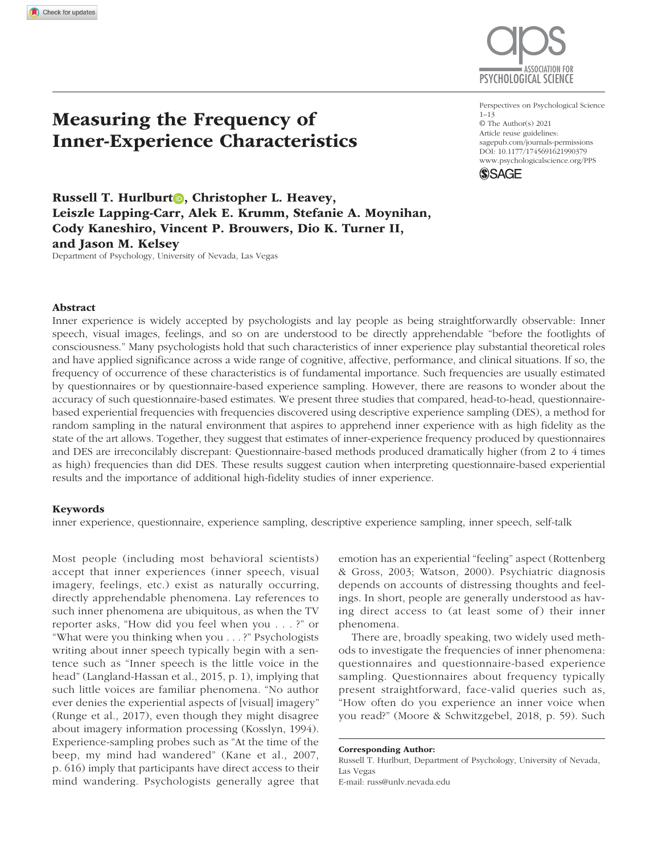

https://doi.org/10.1177/1745691621990379 DOI: 10.1177/1745691621990379 Perspectives on Psychological Science  $1 - 13$ © The Author(s) 2021 Article reuse guidelines: sagepub.com/journals-permissions www.psychologicalscience.org/PPS



Russell T. Hurlburt<sup>o</sup>, Christopher L. Heavey, Leiszle Lapping-Carr, Alek E. Krumm, Stefanie A. Moynihan, Cody Kaneshiro, Vincent P. Brouwers, Dio K. Turner II, and Jason M. Kelsey

Department of Psychology, University of Nevada, Las Vegas

Measuring the Frequency of

Inner-Experience Characteristics

### Abstract

Inner experience is widely accepted by psychologists and lay people as being straightforwardly observable: Inner speech, visual images, feelings, and so on are understood to be directly apprehendable "before the footlights of consciousness." Many psychologists hold that such characteristics of inner experience play substantial theoretical roles and have applied significance across a wide range of cognitive, affective, performance, and clinical situations. If so, the frequency of occurrence of these characteristics is of fundamental importance. Such frequencies are usually estimated by questionnaires or by questionnaire-based experience sampling. However, there are reasons to wonder about the accuracy of such questionnaire-based estimates. We present three studies that compared, head-to-head, questionnairebased experiential frequencies with frequencies discovered using descriptive experience sampling (DES), a method for random sampling in the natural environment that aspires to apprehend inner experience with as high fidelity as the state of the art allows. Together, they suggest that estimates of inner-experience frequency produced by questionnaires and DES are irreconcilably discrepant: Questionnaire-based methods produced dramatically higher (from 2 to 4 times as high) frequencies than did DES. These results suggest caution when interpreting questionnaire-based experiential results and the importance of additional high-fidelity studies of inner experience.

#### Keywords

inner experience, questionnaire, experience sampling, descriptive experience sampling, inner speech, self-talk

Most people (including most behavioral scientists) accept that inner experiences (inner speech, visual imagery, feelings, etc.) exist as naturally occurring, directly apprehendable phenomena. Lay references to such inner phenomena are ubiquitous, as when the TV reporter asks, "How did you feel when you . . . ?" or "What were you thinking when you . . . ?" Psychologists writing about inner speech typically begin with a sentence such as "Inner speech is the little voice in the head" (Langland-Hassan et al., 2015, p. 1), implying that such little voices are familiar phenomena. "No author ever denies the experiential aspects of [visual] imagery" (Runge et al., 2017), even though they might disagree about imagery information processing (Kosslyn, 1994). Experience-sampling probes such as "At the time of the beep, my mind had wandered" (Kane et al., 2007, p. 616) imply that participants have direct access to their mind wandering. Psychologists generally agree that emotion has an experiential "feeling" aspect ( Rottenberg & Gross, 2003; Watson, 2000). Psychiatric diagnosis depends on accounts of distressing thoughts and feelings. In short, people are generally understood as having direct access to (at least some of) their inner phenomena.

There are, broadly speaking, two widely used methods to investigate the frequencies of inner phenomena: questionnaires and questionnaire-based experience sampling. Questionnaires about frequency typically present straightforward, face-valid queries such as, "How often do you experience an inner voice when you read?" (Moore & Schwitzgebel, 2018, p. 59). Such

Russell T. Hurlburt, Department of Psychology, University of Nevada, Las Vegas

E-mail: russ@unlv.nevada.edu

Corresponding Author: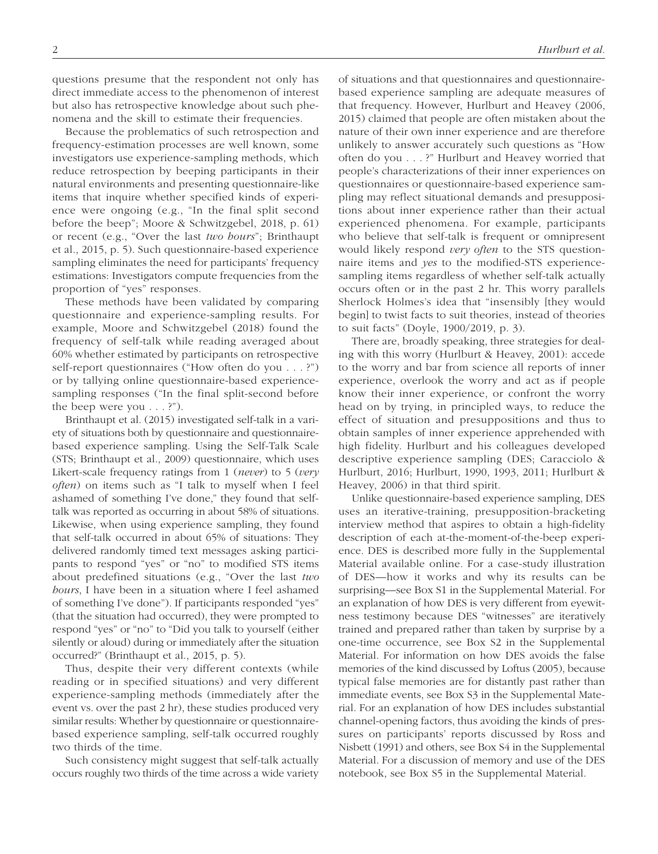questions presume that the respondent not only has direct immediate access to the phenomenon of interest but also has retrospective knowledge about such phenomena and the skill to estimate their frequencies.

Because the problematics of such retrospection and frequency-estimation processes are well known, some investigators use experience-sampling methods, which reduce retrospection by beeping participants in their natural environments and presenting questionnaire-like items that inquire whether specified kinds of experience were ongoing (e.g., "In the final split second before the beep"; Moore & Schwitzgebel, 2018, p. 61) or recent (e.g., "Over the last *two hours*"; Brinthaupt et al., 2015, p. 5). Such questionnaire-based experience sampling eliminates the need for participants' frequency estimations: Investigators compute frequencies from the proportion of "yes" responses.

These methods have been validated by comparing questionnaire and experience-sampling results. For example, Moore and Schwitzgebel (2018) found the frequency of self-talk while reading averaged about 60% whether estimated by participants on retrospective self-report questionnaires ("How often do you . . . ?") or by tallying online questionnaire-based experiencesampling responses ("In the final split-second before the beep were you  $\dots$ ?").

Brinthaupt et al. (2015) investigated self-talk in a variety of situations both by questionnaire and questionnairebased experience sampling. Using the Self-Talk Scale (STS; Brinthaupt et al., 2009) questionnaire, which uses Likert-scale frequency ratings from 1 (*never*) to 5 (*very often*) on items such as "I talk to myself when I feel ashamed of something I've done," they found that selftalk was reported as occurring in about 58% of situations. Likewise, when using experience sampling, they found that self-talk occurred in about 65% of situations: They delivered randomly timed text messages asking participants to respond "yes" or "no" to modified STS items about predefined situations (e.g., "Over the last *two hours*, I have been in a situation where I feel ashamed of something I've done"). If participants responded "yes" (that the situation had occurred), they were prompted to respond "yes" or "no" to "Did you talk to yourself (either silently or aloud) during or immediately after the situation occurred?" (Brinthaupt et al., 2015, p. 5).

Thus, despite their very different contexts (while reading or in specified situations) and very different experience-sampling methods (immediately after the event vs. over the past 2 hr), these studies produced very similar results: Whether by questionnaire or questionnairebased experience sampling, self-talk occurred roughly two thirds of the time.

Such consistency might suggest that self-talk actually occurs roughly two thirds of the time across a wide variety of situations and that questionnaires and questionnairebased experience sampling are adequate measures of that frequency. However, Hurlburt and Heavey (2006, 2015) claimed that people are often mistaken about the nature of their own inner experience and are therefore unlikely to answer accurately such questions as "How often do you . . . ?" Hurlburt and Heavey worried that people's characterizations of their inner experiences on questionnaires or questionnaire-based experience sampling may reflect situational demands and presuppositions about inner experience rather than their actual experienced phenomena. For example, participants who believe that self-talk is frequent or omnipresent would likely respond *very often* to the STS questionnaire items and *yes* to the modified-STS experiencesampling items regardless of whether self-talk actually occurs often or in the past 2 hr. This worry parallels Sherlock Holmes's idea that "insensibly [they would begin] to twist facts to suit theories, instead of theories to suit facts" (Doyle, 1900/2019, p. 3).

There are, broadly speaking, three strategies for dealing with this worry (Hurlburt & Heavey, 2001): accede to the worry and bar from science all reports of inner experience, overlook the worry and act as if people know their inner experience, or confront the worry head on by trying, in principled ways, to reduce the effect of situation and presuppositions and thus to obtain samples of inner experience apprehended with high fidelity. Hurlburt and his colleagues developed descriptive experience sampling (DES; Caracciolo & Hurlburt, 2016; Hurlburt, 1990, 1993, 2011; Hurlburt & Heavey, 2006) in that third spirit.

Unlike questionnaire-based experience sampling, DES uses an iterative-training, presupposition-bracketing interview method that aspires to obtain a high-fidelity description of each at-the-moment-of-the-beep experience. DES is described more fully in the Supplemental Material available online. For a case-study illustration of DES—how it works and why its results can be surprising—see Box S1 in the Supplemental Material. For an explanation of how DES is very different from eyewitness testimony because DES "witnesses" are iteratively trained and prepared rather than taken by surprise by a one-time occurrence, see Box S2 in the Supplemental Material. For information on how DES avoids the false memories of the kind discussed by Loftus (2005), because typical false memories are for distantly past rather than immediate events, see Box S3 in the Supplemental Material. For an explanation of how DES includes substantial channel-opening factors, thus avoiding the kinds of pressures on participants' reports discussed by Ross and Nisbett (1991) and others, see Box S4 in the Supplemental Material. For a discussion of memory and use of the DES notebook, see Box S5 in the Supplemental Material.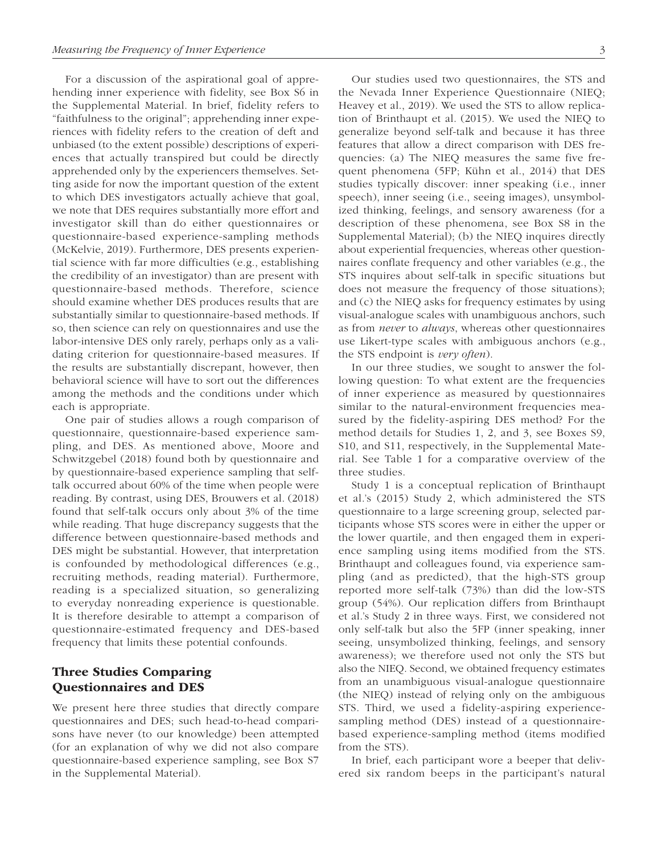For a discussion of the aspirational goal of apprehending inner experience with fidelity, see Box S6 in the Supplemental Material. In brief, fidelity refers to "faithfulness to the original"; apprehending inner experiences with fidelity refers to the creation of deft and unbiased (to the extent possible) descriptions of experiences that actually transpired but could be directly apprehended only by the experiencers themselves. Setting aside for now the important question of the extent to which DES investigators actually achieve that goal, we note that DES requires substantially more effort and investigator skill than do either questionnaires or questionnaire-based experience-sampling methods (McKelvie, 2019). Furthermore, DES presents experiential science with far more difficulties (e.g., establishing the credibility of an investigator) than are present with questionnaire-based methods. Therefore, science should examine whether DES produces results that are substantially similar to questionnaire-based methods. If so, then science can rely on questionnaires and use the labor-intensive DES only rarely, perhaps only as a validating criterion for questionnaire-based measures. If the results are substantially discrepant, however, then behavioral science will have to sort out the differences among the methods and the conditions under which each is appropriate.

One pair of studies allows a rough comparison of questionnaire, questionnaire-based experience sampling, and DES. As mentioned above, Moore and Schwitzgebel (2018) found both by questionnaire and by questionnaire-based experience sampling that selftalk occurred about 60% of the time when people were reading. By contrast, using DES, Brouwers et al. (2018) found that self-talk occurs only about 3% of the time while reading. That huge discrepancy suggests that the difference between questionnaire-based methods and DES might be substantial. However, that interpretation is confounded by methodological differences (e.g., recruiting methods, reading material). Furthermore, reading is a specialized situation, so generalizing to everyday nonreading experience is questionable. It is therefore desirable to attempt a comparison of questionnaire-estimated frequency and DES-based frequency that limits these potential confounds.

# Three Studies Comparing Questionnaires and DES

We present here three studies that directly compare questionnaires and DES; such head-to-head comparisons have never (to our knowledge) been attempted (for an explanation of why we did not also compare questionnaire-based experience sampling, see Box S7 in the Supplemental Material).

Our studies used two questionnaires, the STS and the Nevada Inner Experience Questionnaire (NIEQ; Heavey et al., 2019). We used the STS to allow replication of Brinthaupt et al. (2015). We used the NIEQ to generalize beyond self-talk and because it has three features that allow a direct comparison with DES frequencies: (a) The NIEQ measures the same five frequent phenomena (5FP; Kühn et al., 2014) that DES studies typically discover: inner speaking (i.e., inner speech), inner seeing (i.e., seeing images), unsymbolized thinking, feelings, and sensory awareness (for a description of these phenomena, see Box S8 in the Supplemental Material); (b) the NIEQ inquires directly about experiential frequencies, whereas other questionnaires conflate frequency and other variables (e.g., the STS inquires about self-talk in specific situations but does not measure the frequency of those situations); and (c) the NIEQ asks for frequency estimates by using

use Likert-type scales with ambiguous anchors (e.g., the STS endpoint is *very often*). In our three studies, we sought to answer the following question: To what extent are the frequencies of inner experience as measured by questionnaires similar to the natural-environment frequencies measured by the fidelity-aspiring DES method? For the method details for Studies 1, 2, and 3, see Boxes S9, S10, and S11, respectively, in the Supplemental Material. See Table 1 for a comparative overview of the three studies.

visual-analogue scales with unambiguous anchors, such as from *never* to *always*, whereas other questionnaires

Study 1 is a conceptual replication of Brinthaupt et al.'s (2015) Study 2, which administered the STS questionnaire to a large screening group, selected participants whose STS scores were in either the upper or the lower quartile, and then engaged them in experience sampling using items modified from the STS. Brinthaupt and colleagues found, via experience sampling (and as predicted), that the high-STS group reported more self-talk (73%) than did the low-STS group (54%). Our replication differs from Brinthaupt et al.'s Study 2 in three ways. First, we considered not only self-talk but also the 5FP (inner speaking, inner seeing, unsymbolized thinking, feelings, and sensory awareness); we therefore used not only the STS but also the NIEQ. Second, we obtained frequency estimates from an unambiguous visual-analogue questionnaire (the NIEQ) instead of relying only on the ambiguous STS. Third, we used a fidelity-aspiring experiencesampling method (DES) instead of a questionnairebased experience-sampling method (items modified from the STS).

In brief, each participant wore a beeper that delivered six random beeps in the participant's natural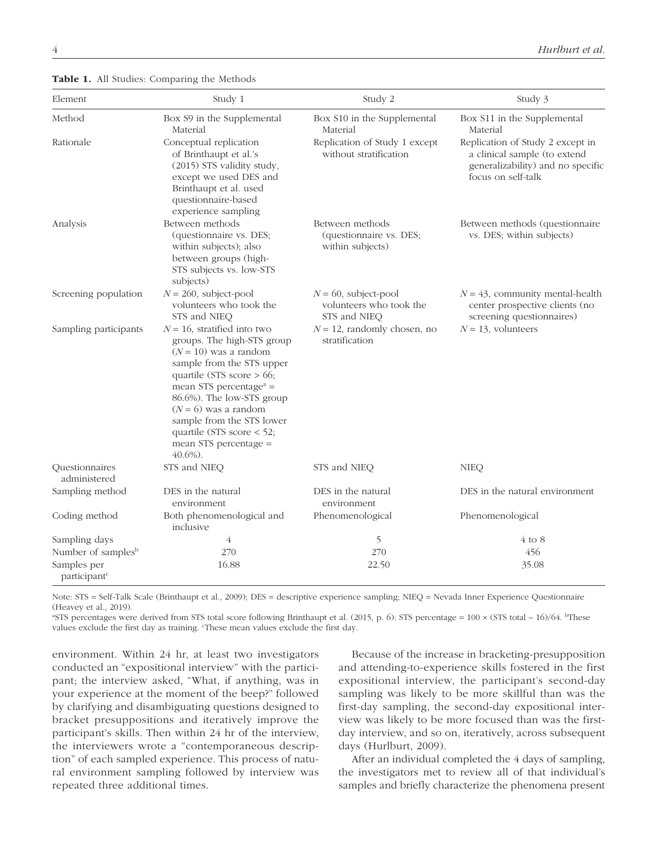## Table 1. All Studies: Comparing the Methods

| Element                                 | Study 1                                                                                                                                                                                                                                                                                                                                                          | Study 2                                                            | Study 3                                                                                                                     |
|-----------------------------------------|------------------------------------------------------------------------------------------------------------------------------------------------------------------------------------------------------------------------------------------------------------------------------------------------------------------------------------------------------------------|--------------------------------------------------------------------|-----------------------------------------------------------------------------------------------------------------------------|
| Method                                  | Box S9 in the Supplemental<br>Material                                                                                                                                                                                                                                                                                                                           | Box S10 in the Supplemental<br>Material                            | Box S11 in the Supplemental<br>Material                                                                                     |
| Rationale                               | Conceptual replication<br>of Brinthaupt et al.'s<br>(2015) STS validity study,<br>except we used DES and<br>Brinthaupt et al. used<br>questionnaire-based<br>experience sampling                                                                                                                                                                                 | Replication of Study 1 except<br>without stratification            | Replication of Study 2 except in<br>a clinical sample (to extend<br>generalizability) and no specific<br>focus on self-talk |
| Analysis                                | Between methods<br>(questionnaire vs. DES;<br>within subjects); also<br>between groups (high-<br>STS subjects vs. low-STS<br>subjects)                                                                                                                                                                                                                           | Between methods<br>(questionnaire vs. DES;<br>within subjects)     | Between methods (questionnaire<br>vs. DES; within subjects)                                                                 |
| Screening population                    | $N = 260$ , subject-pool<br>volunteers who took the<br>STS and NIEQ                                                                                                                                                                                                                                                                                              | $N = 60$ , subject-pool<br>volunteers who took the<br>STS and NIEQ | $N = 43$ , community mental-health<br>center prospective clients (no<br>screening questionnaires)                           |
| Sampling participants                   | $N = 16$ , stratified into two<br>groups. The high-STS group<br>$(N = 10)$ was a random<br>sample from the STS upper<br>quartile (STS score $> 66$ ;<br>mean STS percentage <sup><math>a</math></sup> =<br>86.6%). The low-STS group<br>$(N = 6)$ was a random<br>sample from the STS lower<br>quartile (STS score < 52;<br>mean STS percentage =<br>$40.6\%$ ). | $N = 12$ , randomly chosen, no<br>stratification                   | $N = 13$ , volunteers                                                                                                       |
| Questionnaires<br>administered          | STS and NIEQ                                                                                                                                                                                                                                                                                                                                                     | STS and NIEQ                                                       | <b>NIEQ</b>                                                                                                                 |
| Sampling method                         | DES in the natural<br>environment                                                                                                                                                                                                                                                                                                                                | DES in the natural<br>environment                                  | DES in the natural environment                                                                                              |
| Coding method                           | Both phenomenological and<br>inclusive                                                                                                                                                                                                                                                                                                                           | Phenomenological                                                   | Phenomenological                                                                                                            |
| Sampling days                           | $\overline{4}$                                                                                                                                                                                                                                                                                                                                                   | 5                                                                  | $4$ to $8$                                                                                                                  |
| Number of samples <sup>b</sup>          | 270                                                                                                                                                                                                                                                                                                                                                              | 270                                                                | 456                                                                                                                         |
| Samples per<br>participant <sup>c</sup> | 16.88                                                                                                                                                                                                                                                                                                                                                            | 22.50                                                              | 35.08                                                                                                                       |

Note: STS = Self-Talk Scale (Brinthaupt et al., 2009); DES = descriptive experience sampling; NIEQ = Nevada Inner Experience Questionnaire (Heavey et al., 2019).

<sup>a</sup>STS percentages were derived from STS total score following Brinthaupt et al. (2015, p. 6): STS percentage =  $100 \times (STS$  total –  $16)/(64$ . <sup>b</sup>These values exclude the first day as training. "These mean values exclude the first day.

environment. Within 24 hr, at least two investigators conducted an "expositional interview" with the participant; the interview asked, "What, if anything, was in your experience at the moment of the beep?" followed by clarifying and disambiguating questions designed to bracket presuppositions and iteratively improve the participant's skills. Then within 24 hr of the interview, the interviewers wrote a "contemporaneous description" of each sampled experience. This process of natural environment sampling followed by interview was repeated three additional times.

Because of the increase in bracketing-presupposition and attending-to-experience skills fostered in the first expositional interview, the participant's second-day sampling was likely to be more skillful than was the first-day sampling, the second-day expositional interview was likely to be more focused than was the firstday interview, and so on, iteratively, across subsequent days (Hurlburt, 2009).

After an individual completed the 4 days of sampling, the investigators met to review all of that individual's samples and briefly characterize the phenomena present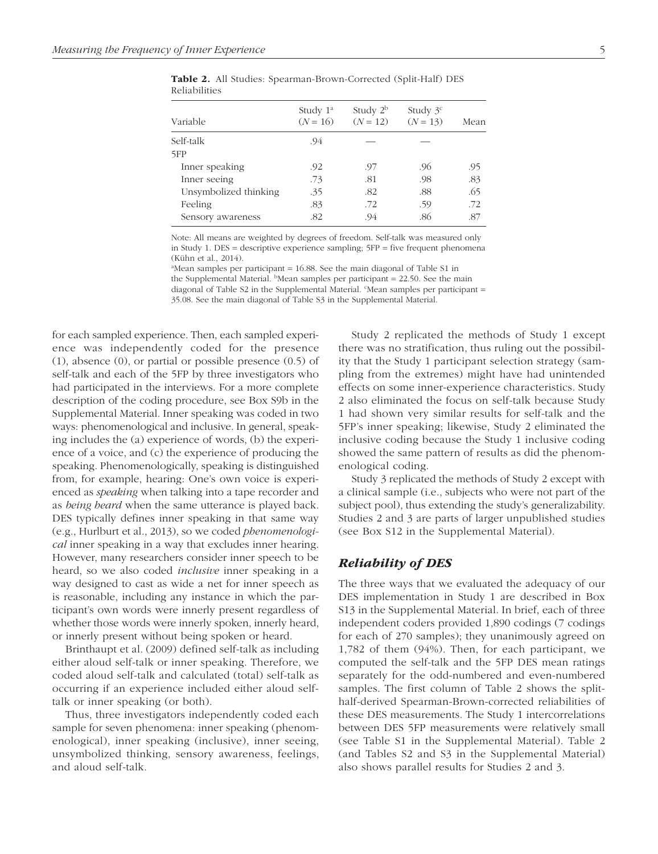| Variable              | Study $1^a$<br>$(N = 16)$ | Study $2^b$<br>$(N = 12)$ | Study $3c$<br>$(N = 13)$ | Mean |  |
|-----------------------|---------------------------|---------------------------|--------------------------|------|--|
| Self-talk             | .94                       |                           |                          |      |  |
| 5FP                   |                           |                           |                          |      |  |
| Inner speaking        | .92                       | .97                       | .96                      | .95  |  |
| Inner seeing          | .73                       | .81                       | .98                      | .83  |  |
| Unsymbolized thinking | .35                       | .82                       | .88                      | .65  |  |
| Feeling               | .83                       | .72                       | .59                      | .72  |  |
| Sensory awareness     | .82                       | .94                       | .86                      | .87  |  |
|                       |                           |                           |                          |      |  |

Table 2. All Studies: Spearman-Brown-Corrected (Split-Half) DES Reliabilities

Note: All means are weighted by degrees of freedom. Self-talk was measured only in Study 1. DES = descriptive experience sampling;  $5FP = five$  frequent phenomena (Kühn et al., 2014).

 $a<sup>a</sup>$ Mean samples per participant = 16.88. See the main diagonal of Table S1 in the Supplemental Material.  $b$ Mean samples per participant = 22.50. See the main diagonal of Table S2 in the Supplemental Material. CMean samples per participant = 35.08. See the main diagonal of Table S3 in the Supplemental Material.

for each sampled experience. Then, each sampled experience was independently coded for the presence (1), absence (0), or partial or possible presence (0.5) of self-talk and each of the 5FP by three investigators who had participated in the interviews. For a more complete description of the coding procedure, see Box S9b in the Supplemental Material. Inner speaking was coded in two ways: phenomenological and inclusive. In general, speaking includes the (a) experience of words, (b) the experience of a voice, and (c) the experience of producing the speaking. Phenomenologically, speaking is distinguished from, for example, hearing: One's own voice is experienced as *speaking* when talking into a tape recorder and as *being heard* when the same utterance is played back. DES typically defines inner speaking in that same way (e.g., Hurlburt et al., 2013), so we coded *phenomenological* inner speaking in a way that excludes inner hearing. However, many researchers consider inner speech to be heard, so we also coded *inclusive* inner speaking in a way designed to cast as wide a net for inner speech as is reasonable, including any instance in which the participant's own words were innerly present regardless of whether those words were innerly spoken, innerly heard, or innerly present without being spoken or heard.

Brinthaupt et al. (2009) defined self-talk as including either aloud self-talk or inner speaking. Therefore, we coded aloud self-talk and calculated (total) self-talk as occurring if an experience included either aloud selftalk or inner speaking (or both).

Thus, three investigators independently coded each sample for seven phenomena: inner speaking (phenomenological), inner speaking (inclusive), inner seeing, unsymbolized thinking, sensory awareness, feelings, and aloud self-talk.

Study 2 replicated the methods of Study 1 except there was no stratification, thus ruling out the possibility that the Study 1 participant selection strategy (sampling from the extremes) might have had unintended effects on some inner-experience characteristics. Study 2 also eliminated the focus on self-talk because Study 1 had shown very similar results for self-talk and the 5FP's inner speaking; likewise, Study 2 eliminated the inclusive coding because the Study 1 inclusive coding showed the same pattern of results as did the phenomenological coding.

Study 3 replicated the methods of Study 2 except with a clinical sample (i.e., subjects who were not part of the subject pool), thus extending the study's generalizability. Studies 2 and 3 are parts of larger unpublished studies (see Box S12 in the Supplemental Material).

## Reliability of DES

The three ways that we evaluated the adequacy of our DES implementation in Study 1 are described in Box S13 in the Supplemental Material. In brief, each of three independent coders provided 1,890 codings (7 codings for each of 270 samples); they unanimously agreed on 1,782 of them (94%). Then, for each participant, we computed the self-talk and the 5FP DES mean ratings separately for the odd-numbered and even-numbered samples. The first column of Table 2 shows the splithalf-derived Spearman-Brown-corrected reliabilities of these DES measurements. The Study 1 intercorrelations between DES 5FP measurements were relatively small (see Table S1 in the Supplemental Material). Table 2 (and Tables S2 and S3 in the Supplemental Material) also shows parallel results for Studies 2 and 3.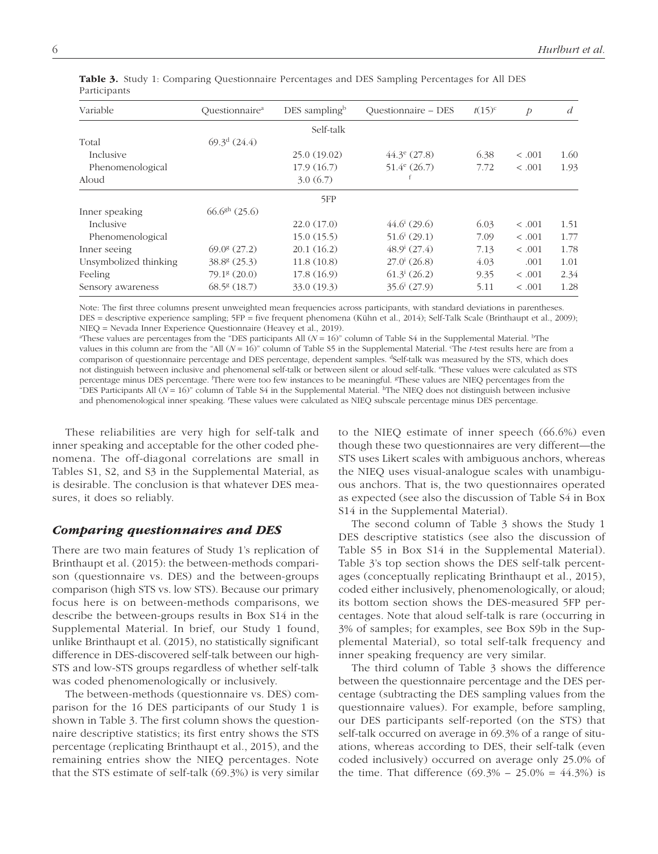| Variable              | Ouestionnaire <sup>a</sup> | DES sampling $\mathbb{R}^{\mathbb{D}}$ | <b>Ouestionnaire - DES</b> | $t(15)^c$ | $\mathcal{D}$ | d    |
|-----------------------|----------------------------|----------------------------------------|----------------------------|-----------|---------------|------|
|                       |                            | Self-talk                              |                            |           |               |      |
| Total                 | $69.3^{\mathrm{d}}(24.4)$  |                                        |                            |           |               |      |
| Inclusive             |                            | 25.0(19.02)                            | $44.3^{\circ}$ (27.8)      | 6.38      | < .001        | 1.60 |
| Phenomenological      |                            | 17.9(16.7)                             | $51.4^e$ (26.7)            | 7.72      | < .001        | 1.93 |
| Aloud                 |                            | 3.0(6.7)                               |                            |           |               |      |
|                       |                            | 5FP                                    |                            |           |               |      |
| Inner speaking        | $66.6gh$ (25.6)            |                                        |                            |           |               |      |
| Inclusive             |                            | 22.0(17.0)                             | $44.6^i(29.6)$             | 6.03      | < .001        | 1.51 |
| Phenomenological      |                            | 15.0(15.5)                             | $51.6^{i} (29.1)$          | 7.09      | < .001        | 1.77 |
| Inner seeing          | $69.08$ (27.2)             | 20.1(16.2)                             | $48.9^i(27.4)$             | 7.13      | < .001        | 1.78 |
| Unsymbolized thinking | $38.88$ (25.3)             | 11.8(10.8)                             | $27.0^i(26.8)$             | 4.03      | .001          | 1.01 |
| Feeling               | $79.18$ (20.0)             | 17.8(16.9)                             | $61.3^{i} (26.2)$          | 9.35      | < .001        | 2.34 |
| Sensory awareness     | $68.58$ (18.7)             | 33.0(19.3)                             | $35.6^{\mathrm{i}}$ (27.9) | 5.11      | < .001        | 1.28 |

Table 3. Study 1: Comparing Questionnaire Percentages and DES Sampling Percentages for All DES Participants

Note: The first three columns present unweighted mean frequencies across participants, with standard deviations in parentheses. DES = descriptive experience sampling; 5FP = five frequent phenomena (Kühn et al., 2014); Self-Talk Scale (Brinthaupt et al., 2009); NIEQ = Nevada Inner Experience Questionnaire (Heavey et al., 2019).

<sup>a</sup>These values are percentages from the "DES participants All  $(N = 16)$ " column of Table S4 in the Supplemental Material. <sup>b</sup>The values in this column are from the "All  $(N = 16)$ " column of Table S5 in the Supplemental Material. The *t*-test results here are from a comparison of questionnaire percentage and DES percentage, dependent samples. <sup>d</sup>Self-talk was measured by the STS, which does not distinguish between inclusive and phenomenal self-talk or between silent or aloud self-talk. "These values were calculated as STS percentage minus DES percentage. <sup>f</sup>There were too few instances to be meaningful. <sup>g</sup>These values are NIEQ percentages from the "DES Participants All  $(N = 16)$ " column of Table S4 in the Supplemental Material. <sup>h</sup>The NIEQ does not distinguish between inclusive and phenomenological inner speaking. <sup>i</sup>These values were calculated as NIEQ subscale percentage minus DES percentage.

These reliabilities are very high for self-talk and inner speaking and acceptable for the other coded phenomena. The off-diagonal correlations are small in Tables S1, S2, and S3 in the Supplemental Material, as is desirable. The conclusion is that whatever DES measures, it does so reliably.

## Comparing questionnaires and DES

There are two main features of Study 1's replication of Brinthaupt et al. (2015): the between-methods comparison (questionnaire vs. DES) and the between-groups comparison (high STS vs. low STS). Because our primary focus here is on between-methods comparisons, we describe the between-groups results in Box S14 in the Supplemental Material. In brief, our Study 1 found, unlike Brinthaupt et al. (2015), no statistically significant difference in DES-discovered self-talk between our high-STS and low-STS groups regardless of whether self-talk was coded phenomenologically or inclusively.

The between-methods (questionnaire vs. DES) comparison for the 16 DES participants of our Study 1 is shown in Table 3. The first column shows the questionnaire descriptive statistics; its first entry shows the STS percentage (replicating Brinthaupt et al., 2015), and the remaining entries show the NIEQ percentages. Note that the STS estimate of self-talk (69.3%) is very similar to the NIEQ estimate of inner speech (66.6%) even though these two questionnaires are very different—the STS uses Likert scales with ambiguous anchors, whereas the NIEQ uses visual-analogue scales with unambiguous anchors. That is, the two questionnaires operated as expected (see also the discussion of Table S4 in Box S14 in the Supplemental Material).

The second column of Table 3 shows the Study 1 DES descriptive statistics (see also the discussion of Table S5 in Box S14 in the Supplemental Material). Table 3's top section shows the DES self-talk percentages (conceptually replicating Brinthaupt et al., 2015), coded either inclusively, phenomenologically, or aloud; its bottom section shows the DES-measured 5FP percentages. Note that aloud self-talk is rare (occurring in 3% of samples; for examples, see Box S9b in the Supplemental Material), so total self-talk frequency and inner speaking frequency are very similar.

The third column of Table 3 shows the difference between the questionnaire percentage and the DES percentage (subtracting the DES sampling values from the questionnaire values). For example, before sampling, our DES participants self-reported (on the STS) that self-talk occurred on average in 69.3% of a range of situations, whereas according to DES, their self-talk (even coded inclusively) occurred on average only 25.0% of the time. That difference  $(69.3\% - 25.0\% = 44.3\%)$  is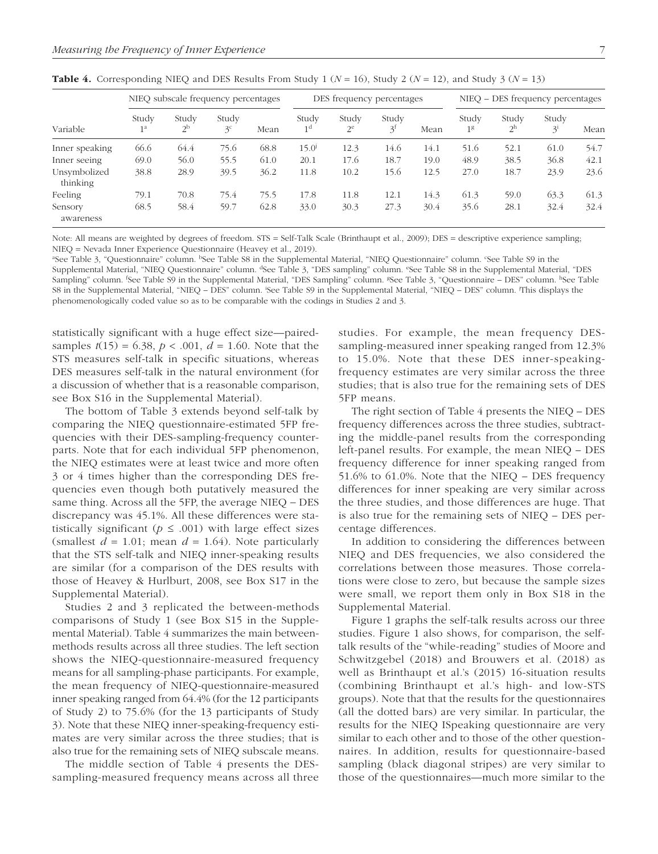| Variable                 | NIEO subscale frequency percentages |                         |                         | DES frequency percentages |                         |                | NIEO – DES frequency percentages |      |                         |                         |                  |      |
|--------------------------|-------------------------------------|-------------------------|-------------------------|---------------------------|-------------------------|----------------|----------------------------------|------|-------------------------|-------------------------|------------------|------|
|                          | Study<br>1 <sup>a</sup>             | Study<br>2 <sup>b</sup> | Study<br>3 <sup>c</sup> | Mean                      | Study<br>1 <sup>d</sup> | Study<br>$2^e$ | Study<br>3 <sup>t</sup>          | Mean | Study<br>1 <sup>g</sup> | Study<br>2 <sup>h</sup> | Study<br>$3^{i}$ | Mean |
| Inner speaking           | 66.6                                | 64.4                    | 75.6                    | 68.8                      | $15.0^{j}$              | 12.3           | 14.6                             | 14.1 | 51.6                    | 52.1                    | 61.0             | 54.7 |
| Inner seeing             | 69.0                                | 56.0                    | 55.5                    | 61.0                      | 20.1                    | 17.6           | 18.7                             | 19.0 | 48.9                    | 38.5                    | 36.8             | 42.1 |
| Unsymbolized<br>thinking | 38.8                                | 28.9                    | 39.5                    | 36.2                      | 11.8                    | 10.2           | 15.6                             | 12.5 | 27.0                    | 18.7                    | 23.9             | 23.6 |
| Feeling                  | 79.1                                | 70.8                    | 75.4                    | 75.5                      | 17.8                    | 11.8           | 12.1                             | 14.3 | 61.3                    | 59.0                    | 63.3             | 61.3 |
| Sensory<br>awareness     | 68.5                                | 58.4                    | 59.7                    | 62.8                      | 33.0                    | 30.3           | 27.3                             | 30.4 | 35.6                    | 28.1                    | 32.4             | 32.4 |

**Table 4.** Corresponding NIEQ and DES Results From Study 1 ( $N = 16$ ), Study 2 ( $N = 12$ ), and Study 3 ( $N = 13$ )

Note: All means are weighted by degrees of freedom. STS = Self-Talk Scale (Brinthaupt et al., 2009); DES = descriptive experience sampling; NIEQ = Nevada Inner Experience Questionnaire (Heavey et al., 2019).

<sup>a</sup>See Table 3, "Questionnaire" column. <sup>b</sup>See Table S8 in the Supplemental Material, "NIEQ Questionnaire" column. 'See Table S9 in the Supplemental Material, "NIEQ Questionnaire" column. <sup>d</sup>See Table 3, "DES sampling" column. "See Table S8 in the Supplemental Material, "DES Sampling" column. <sup>f</sup>See Table S9 in the Supplemental Material, "DES Sampling" column. <sup>8</sup>See Table 3, "Questionnaire – DES" column. <sup>h</sup>See Table S8 in the Supplemental Material, "NIEQ – DES" column. See Table S9 in the Supplemental Material, "NIEQ – DES" column. This displays the phenomenologically coded value so as to be comparable with the codings in Studies 2 and 3.

statistically significant with a huge effect size—pairedsamples  $t(15) = 6.38$ ,  $p < .001$ ,  $d = 1.60$ . Note that the STS measures self-talk in specific situations, whereas DES measures self-talk in the natural environment (for a discussion of whether that is a reasonable comparison, see Box S16 in the Supplemental Material).

The bottom of Table 3 extends beyond self-talk by comparing the NIEQ questionnaire-estimated 5FP frequencies with their DES-sampling-frequency counterparts. Note that for each individual 5FP phenomenon, the NIEQ estimates were at least twice and more often 3 or 4 times higher than the corresponding DES frequencies even though both putatively measured the same thing. Across all the 5FP, the average NIEQ − DES discrepancy was 45.1%. All these differences were statistically significant ( $p \leq .001$ ) with large effect sizes (smallest  $d = 1.01$ ; mean  $d = 1.64$ ). Note particularly that the STS self-talk and NIEQ inner-speaking results are similar (for a comparison of the DES results with those of Heavey & Hurlburt, 2008, see Box S17 in the Supplemental Material).

Studies 2 and 3 replicated the between-methods comparisons of Study 1 (see Box S15 in the Supplemental Material). Table 4 summarizes the main betweenmethods results across all three studies. The left section shows the NIEQ-questionnaire-measured frequency means for all sampling-phase participants. For example, the mean frequency of NIEQ-questionnaire-measured inner speaking ranged from 64.4% (for the 12 participants of Study 2) to 75.6% (for the 13 participants of Study 3). Note that these NIEQ inner-speaking- frequency estimates are very similar across the three studies; that is also true for the remaining sets of NIEQ subscale means.

The middle section of Table 4 presents the DESsampling-measured frequency means across all three studies. For example, the mean frequency DESsampling-measured inner speaking ranged from 12.3% to 15.0%. Note that these DES inner-speakingfrequency estimates are very similar across the three studies; that is also true for the remaining sets of DES 5FP means.

The right section of Table 4 presents the NIEQ – DES frequency differences across the three studies, subtracting the middle-panel results from the corresponding left-panel results. For example, the mean NIEQ – DES frequency difference for inner speaking ranged from 51.6% to 61.0%. Note that the NIEQ – DES frequency differences for inner speaking are very similar across the three studies, and those differences are huge. That is also true for the remaining sets of NIEQ – DES percentage differences.

In addition to considering the differences between NIEQ and DES frequencies, we also considered the correlations between those measures. Those correlations were close to zero, but because the sample sizes were small, we report them only in Box S18 in the Supplemental Material.

Figure 1 graphs the self-talk results across our three studies. Figure 1 also shows, for comparison, the selftalk results of the "while-reading" studies of Moore and Schwitzgebel (2018) and Brouwers et al. (2018) as well as Brinthaupt et al.'s (2015) 16-situation results (combining Brinthaupt et al.'s high- and low-STS groups). Note that that the results for the questionnaires (all the dotted bars) are very similar. In particular, the results for the NIEQ ISpeaking questionnaire are very similar to each other and to those of the other questionnaires. In addition, results for questionnaire-based sampling (black diagonal stripes) are very similar to those of the questionnaires—much more similar to the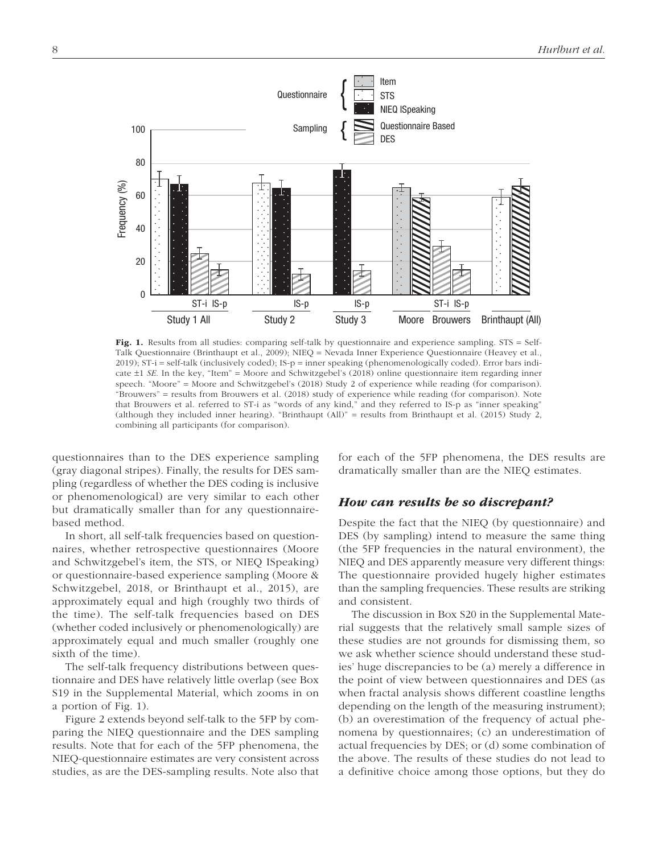

Fig. 1. Results from all studies: comparing self-talk by questionnaire and experience sampling. STS = Self-Talk Questionnaire (Brinthaupt et al., 2009); NIEQ = Nevada Inner Experience Questionnaire (Heavey et al.,  $2019$ ); ST-i = self-talk (inclusively coded); IS-p = inner speaking (phenomenologically coded). Error bars indicate  $\pm 1$  *SE*. In the key, "Item" = Moore and Schwitzgebel's (2018) online questionnaire item regarding inner speech. "Moore" = Moore and Schwitzgebel's (2018) Study 2 of experience while reading (for comparison). "Brouwers" = results from Brouwers et al. (2018) study of experience while reading (for comparison). Note that Brouwers et al. referred to ST-i as "words of any kind," and they referred to IS-p as "inner speaking" (although they included inner hearing). "Brinthaupt (All)" = results from Brinthaupt et al. (2015) Study 2, combining all participants (for comparison).

questionnaires than to the DES experience sampling (gray diagonal stripes). Finally, the results for DES sampling (regardless of whether the DES coding is inclusive or phenomenological) are very similar to each other but dramatically smaller than for any questionnairebased method.

In short, all self-talk frequencies based on questionnaires, whether retrospective questionnaires (Moore and Schwitzgebel's item, the STS, or NIEQ ISpeaking) or questionnaire- based experience sampling (Moore & Schwitzgebel, 2018, or Brinthaupt et al., 2015), are approximately equal and high (roughly two thirds of the time). The self-talk frequencies based on DES (whether coded inclusively or phenomenologically) are approximately equal and much smaller (roughly one sixth of the time).

The self-talk frequency distributions between questionnaire and DES have relatively little overlap (see Box S19 in the Supplemental Material, which zooms in on a portion of Fig. 1).

Figure 2 extends beyond self-talk to the 5FP by comparing the NIEQ questionnaire and the DES sampling results. Note that for each of the 5FP phenomena, the NIEQ-questionnaire estimates are very consistent across studies, as are the DES-sampling results. Note also that for each of the 5FP phenomena, the DES results are dramatically smaller than are the NIEQ estimates.

## How can results be so discrepant?

Despite the fact that the NIEQ (by questionnaire) and DES (by sampling) intend to measure the same thing (the 5FP frequencies in the natural environment), the NIEQ and DES apparently measure very different things: The questionnaire provided hugely higher estimates than the sampling frequencies. These results are striking and consistent.

The discussion in Box S20 in the Supplemental Material suggests that the relatively small sample sizes of these studies are not grounds for dismissing them, so we ask whether science should understand these studies' huge discrepancies to be (a) merely a difference in the point of view between questionnaires and DES (as when fractal analysis shows different coastline lengths depending on the length of the measuring instrument); (b) an overestimation of the frequency of actual phenomena by questionnaires; (c) an underestimation of actual frequencies by DES; or (d) some combination of the above. The results of these studies do not lead to a definitive choice among those options, but they do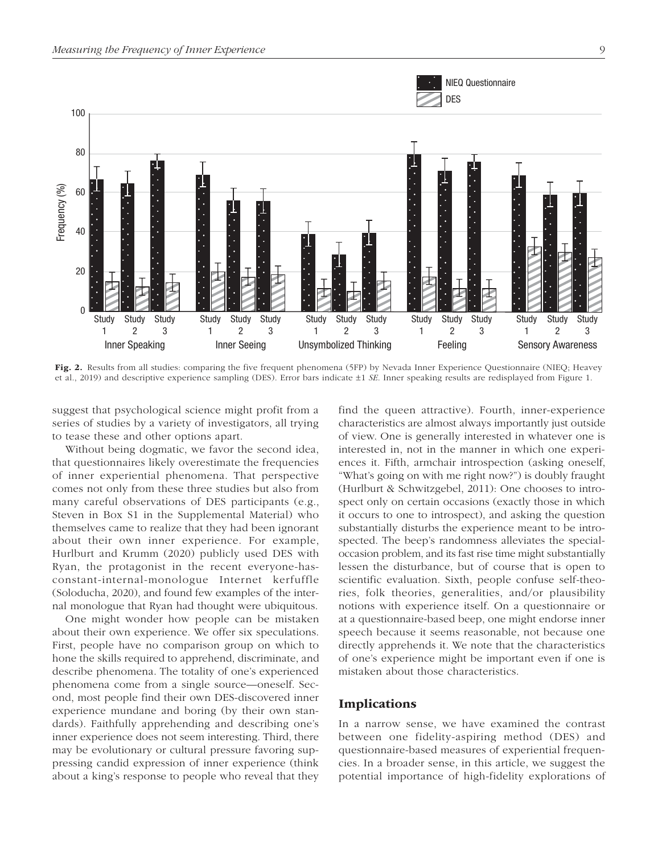

Fig. 2. Results from all studies: comparing the five frequent phenomena (5FP) by Nevada Inner Experience Questionnaire (NIEQ; Heavey et al., 2019) and descriptive experience sampling (DES). Error bars indicate ±1 *SE*. Inner speaking results are redisplayed from Figure 1.

suggest that psychological science might profit from a series of studies by a variety of investigators, all trying to tease these and other options apart.

Without being dogmatic, we favor the second idea, that questionnaires likely overestimate the frequencies of inner experiential phenomena. That perspective comes not only from these three studies but also from many careful observations of DES participants (e.g., Steven in Box S1 in the Supplemental Material) who themselves came to realize that they had been ignorant about their own inner experience. For example, Hurlburt and Krumm (2020) publicly used DES with Ryan, the protagonist in the recent everyone-hasconstant-internal-monologue Internet kerfuffle ( Soloducha, 2020), and found few examples of the internal monologue that Ryan had thought were ubiquitous.

One might wonder how people can be mistaken about their own experience. We offer six speculations. First, people have no comparison group on which to hone the skills required to apprehend, discriminate, and describe phenomena. The totality of one's experienced phenomena come from a single source—oneself. Second, most people find their own DES-discovered inner experience mundane and boring (by their own standards). Faithfully apprehending and describing one's inner experience does not seem interesting. Third, there may be evolutionary or cultural pressure favoring suppressing candid expression of inner experience (think about a king's response to people who reveal that they find the queen attractive). Fourth, inner-experience characteristics are almost always importantly just outside of view. One is generally interested in whatever one is interested in, not in the manner in which one experiences it. Fifth, armchair introspection (asking oneself, "What's going on with me right now?") is doubly fraught ( Hurlburt & Schwitzgebel, 2011): One chooses to introspect only on certain occasions (exactly those in which it occurs to one to introspect), and asking the question substantially disturbs the experience meant to be introspected. The beep's randomness alleviates the specialoccasion problem, and its fast rise time might substantially lessen the disturbance, but of course that is open to scientific evaluation. Sixth, people confuse self-theories, folk theories, generalities, and/or plausibility notions with experience itself. On a questionnaire or at a questionnaire-based beep, one might endorse inner speech because it seems reasonable, not because one directly apprehends it. We note that the characteristics of one's experience might be important even if one is mistaken about those characteristics.

## Implications

In a narrow sense, we have examined the contrast between one fidelity-aspiring method (DES) and questionnaire-based measures of experiential frequencies. In a broader sense, in this article, we suggest the potential importance of high-fidelity explorations of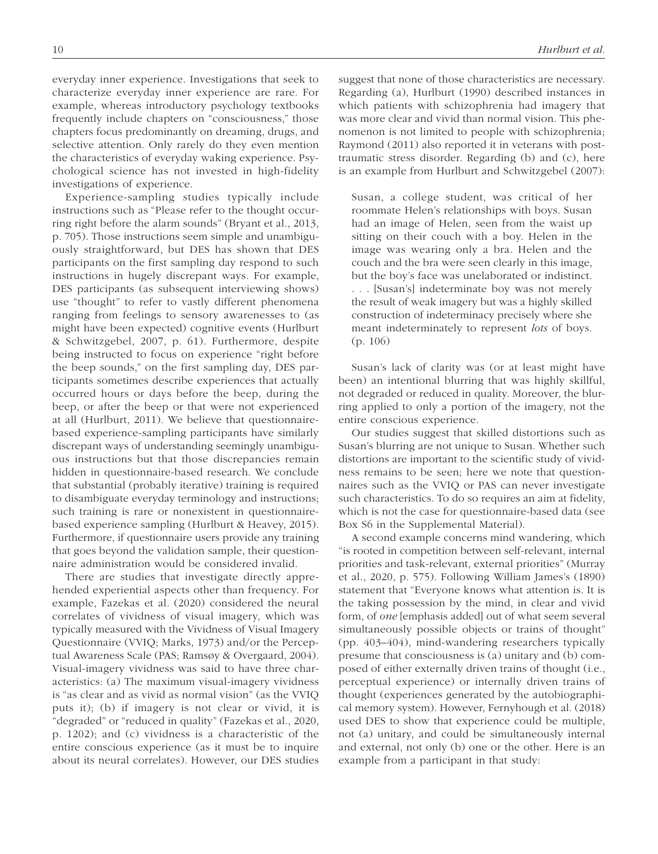everyday inner experience. Investigations that seek to characterize everyday inner experience are rare. For example, whereas introductory psychology textbooks frequently include chapters on "consciousness," those chapters focus predominantly on dreaming, drugs, and selective attention. Only rarely do they even mention the characteristics of everyday waking experience. Psychological science has not invested in high-fidelity investigations of experience.

Experience-sampling studies typically include instructions such as "Please refer to the thought occurring right before the alarm sounds" (Bryant et al., 2013, p. 705). Those instructions seem simple and unambiguously straightforward, but DES has shown that DES participants on the first sampling day respond to such instructions in hugely discrepant ways. For example, DES participants (as subsequent interviewing shows) use "thought" to refer to vastly different phenomena ranging from feelings to sensory awarenesses to (as might have been expected) cognitive events (Hurlburt & Schwitzgebel, 2007, p. 61). Furthermore, despite being instructed to focus on experience "right before the beep sounds," on the first sampling day, DES participants sometimes describe experiences that actually occurred hours or days before the beep, during the beep, or after the beep or that were not experienced at all (Hurlburt, 2011). We believe that questionnairebased experience-sampling participants have similarly discrepant ways of understanding seemingly unambiguous instructions but that those discrepancies remain hidden in questionnaire-based research. We conclude that substantial (probably iterative) training is required to disambiguate everyday terminology and instructions; such training is rare or nonexistent in questionnairebased experience sampling (Hurlburt & Heavey, 2015). Furthermore, if questionnaire users provide any training that goes beyond the validation sample, their questionnaire administration would be considered invalid.

There are studies that investigate directly apprehended experiential aspects other than frequency. For example, Fazekas et al. (2020) considered the neural correlates of vividness of visual imagery, which was typically measured with the Vividness of Visual Imagery Questionnaire (VVIQ; Marks, 1973) and/or the Perceptual Awareness Scale (PAS; Ramsøy & Overgaard, 2004). Visual-imagery vividness was said to have three characteristics: (a) The maximum visual-imagery vividness is "as clear and as vivid as normal vision" (as the VVIQ puts it); (b) if imagery is not clear or vivid, it is "degraded" or "reduced in quality" (Fazekas et al., 2020, p. 1202); and (c) vividness is a characteristic of the entire conscious experience (as it must be to inquire about its neural correlates). However, our DES studies suggest that none of those characteristics are necessary. Regarding (a), Hurlburt (1990) described instances in which patients with schizophrenia had imagery that was more clear and vivid than normal vision. This phenomenon is not limited to people with schizophrenia; Raymond (2011) also reported it in veterans with posttraumatic stress disorder. Regarding (b) and (c), here is an example from Hurlburt and Schwitzgebel (2007):

Susan, a college student, was critical of her roommate Helen's relationships with boys. Susan had an image of Helen, seen from the waist up sitting on their couch with a boy. Helen in the image was wearing only a bra. Helen and the couch and the bra were seen clearly in this image, but the boy's face was unelaborated or indistinct. . . . [Susan's] indeterminate boy was not merely the result of weak imagery but was a highly skilled construction of indeterminacy precisely where she meant indeterminately to represent *lots* of boys. (p. 106)

Susan's lack of clarity was (or at least might have been) an intentional blurring that was highly skillful, not degraded or reduced in quality. Moreover, the blurring applied to only a portion of the imagery, not the entire conscious experience.

Our studies suggest that skilled distortions such as Susan's blurring are not unique to Susan. Whether such distortions are important to the scientific study of vividness remains to be seen; here we note that questionnaires such as the VVIQ or PAS can never investigate such characteristics. To do so requires an aim at fidelity, which is not the case for questionnaire-based data (see Box S6 in the Supplemental Material).

A second example concerns mind wandering, which "is rooted in competition between self-relevant, internal priorities and task-relevant, external priorities" (Murray et al., 2020, p. 575). Following William James's (1890) statement that "Everyone knows what attention is. It is the taking possession by the mind, in clear and vivid form, of *one* [emphasis added] out of what seem several simultaneously possible objects or trains of thought" (pp. 403–404), mind-wandering researchers typically presume that consciousness is (a) unitary and (b) composed of either externally driven trains of thought (i.e., perceptual experience) or internally driven trains of thought (experiences generated by the autobiographical memory system). However, Fernyhough et al. (2018) used DES to show that experience could be multiple, not (a) unitary, and could be simultaneously internal and external, not only (b) one or the other. Here is an example from a participant in that study: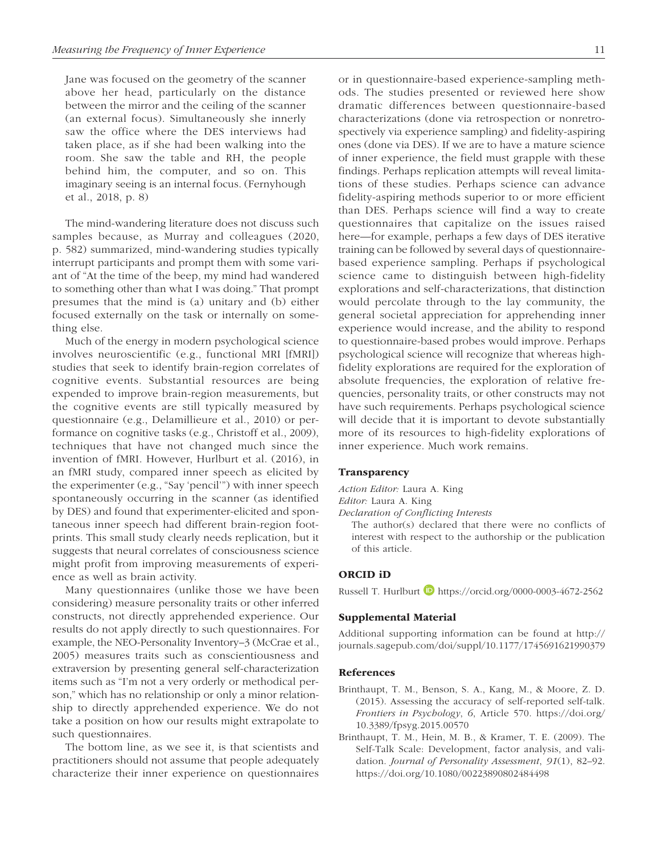Jane was focused on the geometry of the scanner above her head, particularly on the distance between the mirror and the ceiling of the scanner (an external focus). Simultaneously she innerly saw the office where the DES interviews had taken place, as if she had been walking into the room. She saw the table and RH, the people behind him, the computer, and so on. This imaginary seeing is an internal focus. (Fernyhough et al., 2018, p. 8)

The mind-wandering literature does not discuss such samples because, as Murray and colleagues (2020, p. 582) summarized, mind-wandering studies typically interrupt participants and prompt them with some variant of "At the time of the beep, my mind had wandered to something other than what I was doing." That prompt presumes that the mind is (a) unitary and (b) either focused externally on the task or internally on something else.

Much of the energy in modern psychological science involves neuroscientific (e.g., functional MRI [fMRI]) studies that seek to identify brain-region correlates of cognitive events. Substantial resources are being expended to improve brain-region measurements, but the cognitive events are still typically measured by questionnaire (e.g., Delamillieure et al., 2010) or performance on cognitive tasks (e.g., Christoff et al., 2009), techniques that have not changed much since the invention of fMRI. However, Hurlburt et al. (2016), in an fMRI study, compared inner speech as elicited by the experimenter (e.g., "Say 'pencil'") with inner speech spontaneously occurring in the scanner (as identified by DES) and found that experimenter-elicited and spontaneous inner speech had different brain-region footprints. This small study clearly needs replication, but it suggests that neural correlates of consciousness science might profit from improving measurements of experience as well as brain activity.

Many questionnaires (unlike those we have been considering) measure personality traits or other inferred constructs, not directly apprehended experience. Our results do not apply directly to such questionnaires. For example, the NEO-Personality Inventory–3 (McCrae et al., 2005) measures traits such as conscientiousness and extraversion by presenting general self-characterization items such as "I'm not a very orderly or methodical person," which has no relationship or only a minor relationship to directly apprehended experience. We do not take a position on how our results might extrapolate to such questionnaires.

The bottom line, as we see it, is that scientists and practitioners should not assume that people adequately characterize their inner experience on questionnaires or in questionnaire-based experience-sampling methods. The studies presented or reviewed here show dramatic differences between questionnaire-based characterizations (done via retrospection or nonretrospectively via experience sampling) and fidelity-aspiring ones (done via DES). If we are to have a mature science of inner experience, the field must grapple with these findings. Perhaps replication attempts will reveal limitations of these studies. Perhaps science can advance fidelity-aspiring methods superior to or more efficient than DES. Perhaps science will find a way to create questionnaires that capitalize on the issues raised here—for example, perhaps a few days of DES iterative training can be followed by several days of questionnairebased experience sampling. Perhaps if psychological science came to distinguish between high-fidelity explorations and self-characterizations, that distinction would percolate through to the lay community, the general societal appreciation for apprehending inner experience would increase, and the ability to respond to questionnaire-based probes would improve. Perhaps psychological science will recognize that whereas highfidelity explorations are required for the exploration of absolute frequencies, the exploration of relative frequencies, personality traits, or other constructs may not have such requirements. Perhaps psychological science will decide that it is important to devote substantially more of its resources to high-fidelity explorations of inner experience. Much work remains.

### **Transparency**

*Action Editor:* Laura A. King

*Editor:* Laura A. King

*Declaration of Conflicting Interests*

The author(s) declared that there were no conflicts of interest with respect to the authorship or the publication of this article.

## ORCID iD

Russell T. Hurlburt **https://orcid.org/0000-0003-4672-2562** 

### Supplemental Material

Additional supporting information can be found at http:// journals.sagepub.com/doi/suppl/10.1177/1745691621990379

#### References

- Brinthaupt, T. M., Benson, S. A., Kang, M., & Moore, Z. D. (2015). Assessing the accuracy of self-reported self-talk. *Frontiers in Psychology*, *6*, Article 570. https://doi.org/ 10.3389/fpsyg.2015.00570
- Brinthaupt, T. M., Hein, M. B., & Kramer, T. E. (2009). The Self-Talk Scale: Development, factor analysis, and validation. *Journal of Personality Assessment*, *91*(1), 82–92. https://doi.org/10.1080/00223890802484498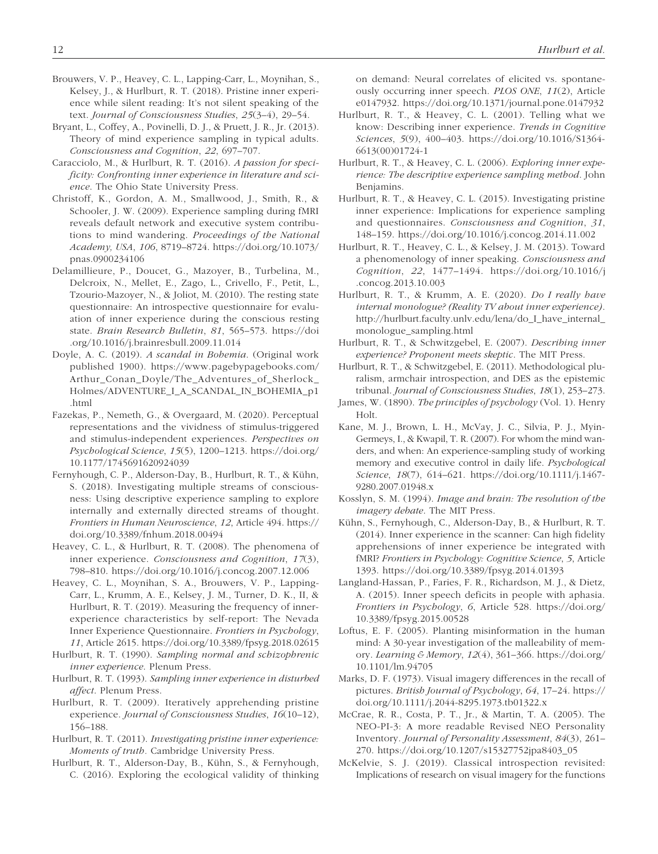- Brouwers, V. P., Heavey, C. L., Lapping-Carr, L., Moynihan, S., Kelsey, J., & Hurlburt, R. T. (2018). Pristine inner experience while silent reading: It's not silent speaking of the text. *Journal of Consciousness Studies*, *25*(3–4), 29–54.
- Bryant, L., Coffey, A., Povinelli, D. J., & Pruett, J. R., Jr. (2013). Theory of mind experience sampling in typical adults. *Consciousness and Cognition*, *22*, 697–707.
- Caracciolo, M., & Hurlburt, R. T. (2016). *A passion for specificity: Confronting inner experience in literature and science*. The Ohio State University Press.
- Christoff, K., Gordon, A. M., Smallwood, J., Smith, R., & Schooler, J. W. (2009). Experience sampling during fMRI reveals default network and executive system contributions to mind wandering. *Proceedings of the National Academy, USA*, *106*, 8719–8724. https://doi.org/10.1073/ pnas.0900234106
- Delamillieure, P., Doucet, G., Mazoyer, B., Turbelina, M., Delcroix, N., Mellet, E., Zago, L., Crivello, F., Petit, L., Tzourio-Mazoyer, N., & Joliot, M. (2010). The resting state questionnaire: An introspective questionnaire for evaluation of inner experience during the conscious resting state. *Brain Research Bulletin*, *81*, 565–573. https://doi .org/10.1016/j.brainresbull.2009.11.014
- Doyle, A. C. (2019). *A scandal in Bohemia*. (Original work published 1900). https://www.pagebypagebooks.com/ Arthur\_Conan\_Doyle/The\_Adventures\_of\_Sherlock\_ Holmes/ADVENTURE\_I\_A\_SCANDAL\_IN\_BOHEMIA\_p1 .html
- Fazekas, P., Nemeth, G., & Overgaard, M. (2020). Perceptual representations and the vividness of stimulus-triggered and stimulus-independent experiences. *Perspectives on Psychological Science*, *15*(5), 1200–1213. https://doi.org/ 10.1177/1745691620924039
- Fernyhough, C. P., Alderson-Day, B., Hurlburt, R. T., & Kühn, S. (2018). Investigating multiple streams of consciousness: Using descriptive experience sampling to explore internally and externally directed streams of thought. *Frontiers in Human Neuroscience*, *12*, Article 494. https:// doi.org/10.3389/fnhum.2018.00494
- Heavey, C. L., & Hurlburt, R. T. (2008). The phenomena of inner experience. *Consciousness and Cognition*, *17*(3), 798–810. https://doi.org/10.1016/j.concog.2007.12.006
- Heavey, C. L., Moynihan, S. A., Brouwers, V. P., Lapping-Carr, L., Krumm, A. E., Kelsey, J. M., Turner, D. K., II, & Hurlburt, R. T. (2019). Measuring the frequency of innerexperience characteristics by self-report: The Nevada Inner Experience Questionnaire. *Frontiers in Psychology*, *11*, Article 2615. https://doi.org/10.3389/fpsyg.2018.02615
- Hurlburt, R. T. (1990). *Sampling normal and schizophrenic inner experience*. Plenum Press.
- Hurlburt, R. T. (1993). *Sampling inner experience in disturbed affect*. Plenum Press.
- Hurlburt, R. T. (2009). Iteratively apprehending pristine experience. *Journal of Consciousness Studies*, *16*(10–12), 156–188.
- Hurlburt, R. T. (2011). *Investigating pristine inner experience: Moments of truth.* Cambridge University Press.
- Hurlburt, R. T., Alderson-Day, B., Kühn, S., & Fernyhough, C. (2016). Exploring the ecological validity of thinking

on demand: Neural correlates of elicited vs. spontaneously occurring inner speech. *PLOS ONE*, *11*(2), Article e0147932. https://doi.org/10.1371/journal.pone.0147932

- Hurlburt, R. T., & Heavey, C. L. (2001). Telling what we know: Describing inner experience. *Trends in Cognitive Sciences*, *5*(9), 400–403. https://doi.org/10.1016/S1364- 6613(00)01724-1
- Hurlburt, R. T., & Heavey, C. L. (2006). *Exploring inner experience: The descriptive experience sampling method*. John Benjamins.
- Hurlburt, R. T., & Heavey, C. L. (2015). Investigating pristine inner experience: Implications for experience sampling and questionnaires. *Consciousness and Cognition*, *31*, 148–159. https://doi.org/10.1016/j.concog.2014.11.002
- Hurlburt, R. T., Heavey, C. L., & Kelsey, J. M. (2013). Toward a phenomenology of inner speaking. *Consciousness and Cognition*, *22*, 1477–1494. https://doi.org/10.1016/j .concog.2013.10.003
- Hurlburt, R. T., & Krumm, A. E. (2020). *Do I really have internal monologue? (Reality TV about inner experience)*. http://hurlburt.faculty.unlv.edu/lena/do\_I\_have\_internal\_ monologue\_sampling.html
- Hurlburt, R. T., & Schwitzgebel, E. (2007). *Describing inner experience? Proponent meets skeptic*. The MIT Press.
- Hurlburt, R. T., & Schwitzgebel, E. (2011). Methodological pluralism, armchair introspection, and DES as the epistemic tribunal. *Journal of Consciousness Studies*, *18*(1), 253–273.
- James, W. (1890). *The principles of psychology* (Vol. 1). Henry Holt.
- Kane, M. J., Brown, L. H., McVay, J. C., Silvia, P. J., Myin-Germeys, I., & Kwapil, T. R. (2007). For whom the mind wanders, and when: An experience-sampling study of working memory and executive control in daily life. *Psychological Science*, *18*(7), 614–621. https://doi.org/10.1111/j.1467- 9280.2007.01948.x
- Kosslyn, S. M. (1994). *Image and brain: The resolution of the imagery debate*. The MIT Press.
- Kühn, S., Fernyhough, C., Alderson-Day, B., & Hurlburt, R. T. (2014). Inner experience in the scanner: Can high fidelity apprehensions of inner experience be integrated with fMRI? *Frontiers in Psychology: Cognitive Science*, *5*, Article 1393. https://doi.org/10.3389/fpsyg.2014.01393
- Langland-Hassan, P., Faries, F. R., Richardson, M. J., & Dietz, A. (2015). Inner speech deficits in people with aphasia. *Frontiers in Psychology*, *6*, Article 528. https://doi.org/ 10.3389/fpsyg.2015.00528
- Loftus, E. F. (2005). Planting misinformation in the human mind: A 30-year investigation of the malleability of memory. *Learning & Memory*, *12*(4), 361–366. https://doi.org/ 10.1101/lm.94705
- Marks, D. F. (1973). Visual imagery differences in the recall of pictures. *British Journal of Psychology*, *64*, 17–24. https:// doi.org/10.1111/j.2044-8295.1973.tb01322.x
- McCrae, R. R., Costa, P. T., Jr., & Martin, T. A. (2005). The NEO-PI-3: A more readable Revised NEO Personality Inventory. *Journal of Personality Assessment*, *84*(3), 261– 270. https://doi.org/10.1207/s15327752jpa8403\_05
- McKelvie, S. J. (2019). Classical introspection revisited: Implications of research on visual imagery for the functions